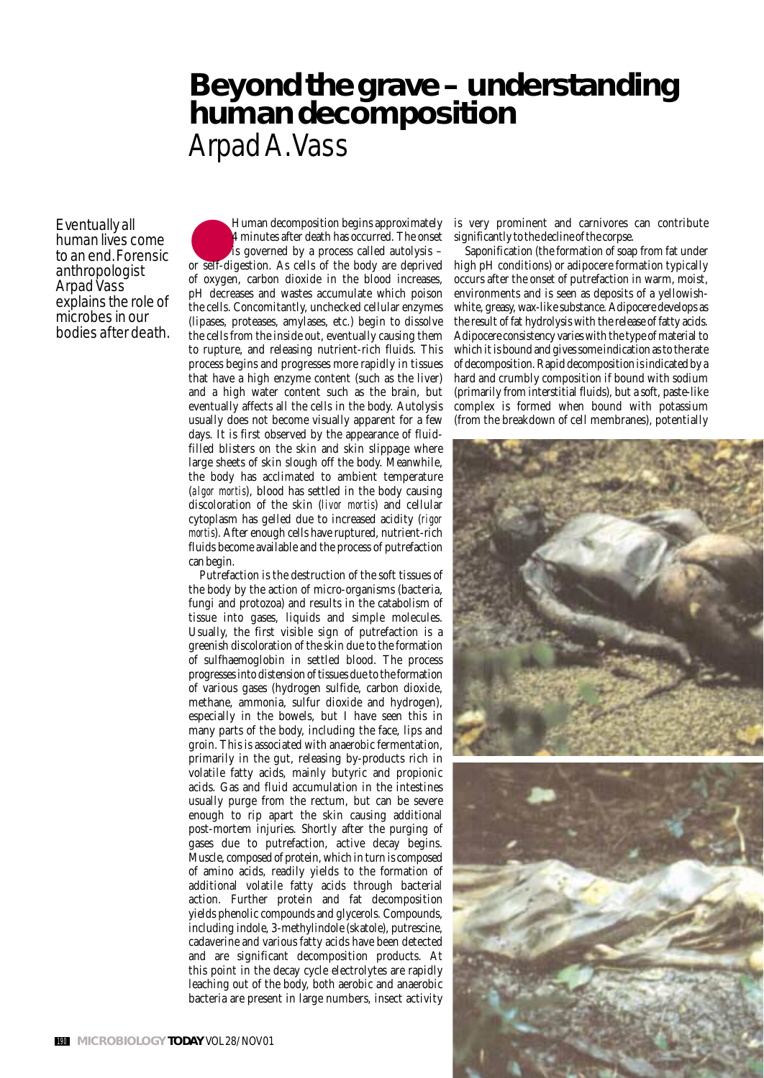# **Beyond the grave – understanding human decomposition** Arpad A. Vass

Eventually all human lives come to an end. Forensic anthropologist Arpad Vass explains the role of microbes in our bodies after death.

Human decomposition begins approximately 4 minutes after death has occurred. The onset is governed by a process called autolysis – or self-digestion. As cells of the body are deprived of oxygen, carbon dioxide in the blood increases, pH decreases and wastes accumulate which poison the cells. Concomitantly, unchecked cellular enzymes (lipases, proteases, amylases, etc.) begin to dissolve the cells from the inside out, eventually causing them to rupture, and releasing nutrient-rich fluids. This process begins and progresses more rapidly in tissues that have a high enzyme content (such as the liver) and a high water content such as the brain, but eventually affects all the cells in the body. Autolysis usually does not become visually apparent for a few days. It is first observed by the appearance of fluidfilled blisters on the skin and skin slippage where large sheets of skin slough off the body. Meanwhile, the body has acclimated to ambient temperature (*algor mortis*), blood has settled in the body causing discoloration of the skin (*livor mortis*) and cellular cytoplasm has gelled due to increased acidity (*rigor mortis*). After enough cells have ruptured, nutrient-rich fluids become available and the process of putrefaction can begin.

Putrefaction is the destruction of the soft tissues of the body by the action of micro-organisms (bacteria, fungi and protozoa) and results in the catabolism of tissue into gases, liquids and simple molecules. Usually, the first visible sign of putrefaction is a greenish discoloration of the skin due to the formation of sulfhaemoglobin in settled blood. The process progresses into distension of tissues due to the formation of various gases (hydrogen sulfide, carbon dioxide, methane, ammonia, sulfur dioxide and hydrogen), especially in the bowels, but I have seen this in many parts of the body, including the face, lips and groin. This is associated with anaerobic fermentation, primarily in the gut, releasing by-products rich in volatile fatty acids, mainly butyric and propionic acids. Gas and fluid accumulation in the intestines usually purge from the rectum, but can be severe enough to rip apart the skin causing additional post-mortem injuries. Shortly after the purging of gases due to putrefaction, active decay begins. Muscle, composed of protein, which in turn is composed of amino acids, readily yields to the formation of additional volatile fatty acids through bacterial action. Further protein and fat decomposition yields phenolic compounds and glycerols. Compounds, including indole, 3-methylindole (skatole), putrescine, cadaverine and various fatty acids have been detected and are significant decomposition products. At this point in the decay cycle electrolytes are rapidly leaching out of the body, both aerobic and anaerobic bacteria are present in large numbers, insect activity

is very prominent and carnivores can contribute significantly to the decline of the corpse.

Saponification (the formation of soap from fat under high pH conditions) or adipocere formation typically occurs after the onset of putrefaction in warm, moist, environments and is seen as deposits of a yellowishwhite, greasy, wax-like substance. Adipocere develops as the result of fat hydrolysis with the release of fatty acids. Adipocere consistency varies with the type of material to which it is bound and gives some indication as to the rate of decomposition. Rapid decomposition is indicated by a hard and crumbly composition if bound with sodium (primarily from interstitial fluids), but a soft, paste-like complex is formed when bound with potassium (from the breakdown of cell membranes), potentially

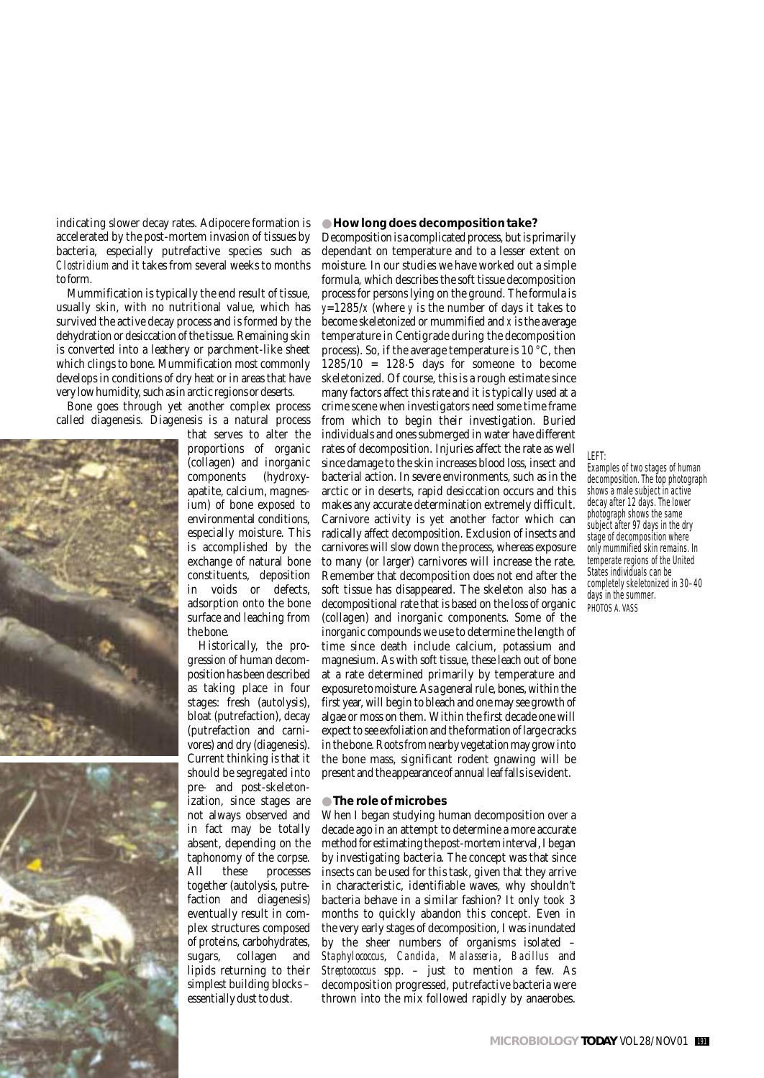indicating slower decay rates. Adipocere formation is accelerated by the post-mortem invasion of tissues by bacteria, especially putrefactive species such as *Clostridium* and it takes from several weeks to months to form.

Mummification is typically the end result of tissue, usually skin, with no nutritional value, which has survived the active decay process and is formed by the dehydration or desiccation of the tissue. Remaining skin is converted into a leathery or parchment-like sheet which clings to bone. Mummification most commonly develops in conditions of dry heat or in areas that have very low humidity, such as in arctic regions or deserts.

Bone goes through yet another complex process called diagenesis. Diagenesis is a natural process



that serves to alter the proportions of organic (collagen) and inorganic components (hydroxyapatite, calcium, magnesium) of bone exposed to environmental conditions, especially moisture. This is accomplished by the exchange of natural bone constituents, deposition in voids or defects, adsorption onto the bone surface and leaching from the bone.

Historically, the progression of human decomposition has been described as taking place in four stages: fresh (autolysis), bloat (putrefaction), decay (putrefaction and carnivores) and dry (diagenesis). Current thinking is that it should be segregated into pre- and post-skeletonization, since stages are not always observed and in fact may be totally absent, depending on the taphonomy of the corpse. All these processes together (autolysis, putrefaction and diagenesis) eventually result in complex structures composed of proteins, carbohydrates, sugars, collagen and lipids returning to their simplest building blocks – essentially dust to dust.

#### ● **How long does decomposition take?**

Decomposition is a complicated process, but is primarily dependant on temperature and to a lesser extent on moisture. In our studies we have worked out a simple formula, which describes the soft tissue decomposition process for persons lying on the ground. The formula is  $y=1285/x$  (where *y* is the number of days it takes to become skeletonized or mummified and *x* is the average temperature in Centigrade during the decomposition process). So, if the average temperature is 10 °C, then  $1285/10 = 128.5$  days for someone to become skeletonized. Of course, this is a rough estimate since many factors affect this rate and it is typically used at a crime scene when investigators need some time frame from which to begin their investigation. Buried individuals and ones submerged in water have different rates of decomposition. Injuries affect the rate as well since damage to the skin increases blood loss, insect and bacterial action. In severe environments, such as in the arctic or in deserts, rapid desiccation occurs and this makes any accurate determination extremely difficult. Carnivore activity is yet another factor which can radically affect decomposition. Exclusion of insects and carnivores will slow down the process, whereas exposure to many (or larger) carnivores will increase the rate. Remember that decomposition does not end after the soft tissue has disappeared. The skeleton also has a decompositional rate that is based on the loss of organic (collagen) and inorganic components. Some of the inorganic compounds we use to determine the length of time since death include calcium, potassium and magnesium. As with soft tissue, these leach out of bone at a rate determined primarily by temperature and exposure to moisture. As a general rule, bones, within the first year, will begin to bleach and one may see growth of algae or moss on them. Within the first decade one will expect to see exfoliation and the formation of large cracks in the bone. Roots from nearby vegetation may grow into the bone mass, significant rodent gnawing will be present and the appearance of annual leaf falls is evident.

## ● **The role of microbes**

When I began studying human decomposition over a decade ago in an attempt to determine a more accurate method for estimating the post-mortem interval, I began by investigating bacteria. The concept was that since insects can be used for this task, given that they arrive in characteristic, identifiable waves, why shouldn't bacteria behave in a similar fashion? It only took 3 months to quickly abandon this concept. Even in the very early stages of decomposition, I was inundated by the sheer numbers of organisms isolated – *Staphylococcus*, *Candida*, *Malasseria*, *Bacillus* and *Streptococcus* spp. – just to mention a few. As decomposition progressed, putrefactive bacteria were thrown into the mix followed rapidly by anaerobes.

LEFT:

Examples of two stages of human decomposition. The top photograph shows a male subject in active decay after 12 days. The lower photograph shows the same subject after 97 days in the dry stage of decomposition where only mummified skin remains. In temperate regions of the United States individuals can be completely skeletonized in 30–40 days in the summer. PHOTOS A. VASS